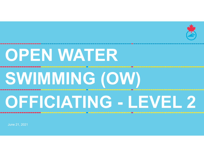

# **OPEN WATER**

# **SWIMMING (OW)**

## **OFFICIATING - LEVEL 2**

June 21, 2021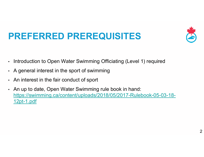

## **PREFERRED PREREQUISITES**

- •Introduction to Open Water Swimming Officiating (Level 1) required
- •A general interest in the sport of swimming
- •An interest in the fair conduct of sport
- $\bullet$  An up to date, Open Water Swimming rule book in hand: https://swimming.ca/content/uploads/2018/05/2017-Rulebook-05-03-18- 12pt-1.pdf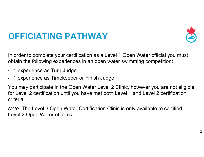## **OFFICIATING PATHWAY**



In order to complete your certification as a Level 1 Open Water official you must obtain the following experiences in an open water swimming competition:

- •1 experience as Turn Judge
- •1 experience as Timekeeper or Finish Judge

You may participate in the Open Water Level 2 Clinic, however you are not eligible for Level 2 certification until you have met both Level 1 and Level 2 certification criteria.

*Note:* The Level 3 Open Water Certification Clinic is only available to certified Level 2 Open Water officials.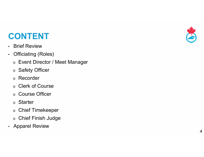

4

## **CONTENT**

- $\bullet$ Brief Review
- $\bullet$  Officiating (Roles)
	- o Event Director / Meet Manager
	- $\, \circ \,$  Safety Officer
	- o Recorder
	- oClerk of Course
	- $\circ~$  Course Officer
	- o Starter
	- oChief Timekeeper
	- $\,\circ\,$  Chief Finish Judge
- Apparel Review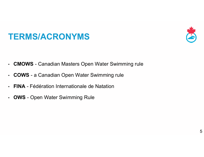

## **TERMS/ACRONYMS**

- •**CMOWS** - Canadian Masters Open Water Swimming rule
- $\bullet$ **COWS** - a Canadian Open Water Swimming rule
- •**FINA** - Fédération Internationale de Natation
- •**OWS** - Open Water Swimming Rule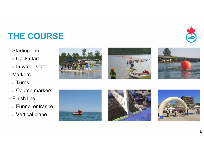

## **THE COURSE**

- Starting line
	- o Dock start  $\circ$  In water start
- Markers
	- $\circ$  Turns
	- $\circ$  Course markers
- Finish line
	- $\circ$  Funnel entrance
	- $\circ$  Vertical plane











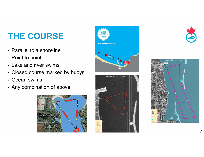## **THE COURSE**

- Parallel to a shoreline
- Point to point
- Lake and river swims
- Closed course marked by buoys
- Ocean swims
- Any combination of above









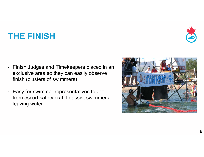## **THE FINISH**

- Finish Judges and Timekeepers placed in an exclusive area so they can easily observe finish (clusters of swimmers)
- Easy for swimmer representatives to get from escort safety craft to assist swimmers leaving water



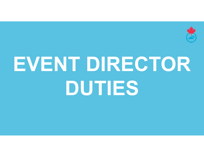

# **EVENT DIRECTOR DUTIES**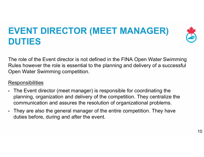## **EVENT DIRECTOR (MEET MANAGER) DUTIES**



The role of the Event director is not defined in the FINA Open Water Swimming Rules however the role is essential to the planning and delivery of a successful Open Water Swimming competition.

#### **Responsibilities**

- The Event director (meet manager) is responsible for coordinating the planning, organization and delivery of the competition. They centralize the communication and assures the resolution of organizational problems.
- • They are also the general manager of the entire competition. They have duties before, during and after the event.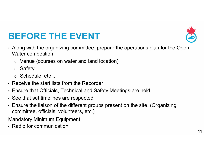## **BEFORE THE EVENT**

- Along with the organizing committee, prepare the operations plan for the Open Water competition
	- $\circ$  Venue (courses on water and land location)
	- $\circ$  Safety
	- $\circ$  Schedule, etc ...
- Receive the start lists from the Recorder
- Ensure that Officials, Technical and Safety Meetings are held
- See that set timelines are respected
- Ensure the liaison of the different groups present on the site. (Organizing committee, officials, volunteers, etc.)

Mandatory Minimum Equipment

• Radio for communication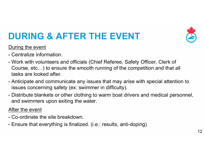## **DURING & AFTER THE EVENT**



#### During the event

- Centralize information.
- Work with volunteers and officials (Chief Referee, Safety Officer, Clerk of Course, etc…) to ensure the smooth running of the competition and that all tasks are looked after.
- Anticipate and communicate any issues that may arise with special attention to issues concerning safety (ex: swimmer in difficulty).
- Distribute blankets or other clothing to warm boat drivers and medical personnel, and swimmers upon exiting the water.

#### After the event

- Co-ordinate the site breakdown.
- Ensure that everything is finalized. (i.e.: results, anti-doping)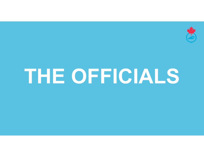

# **THE OFFICIALS**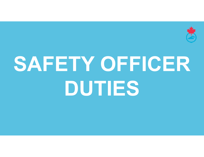

# **SAFETY OFFICER DUTIES**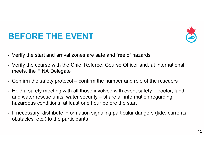

## **BEFORE THE EVENT**

- Verify the start and arrival zones are safe and free of hazards
- Verify the course with the Chief Referee, Course Officer and, at international meets, the FINA Delegate
- Confirm the safety protocol confirm the number and role of the rescuers
- Hold a safety meeting with all those involved with event safety doctor, land and water rescue units, water security – share all information regarding hazardous conditions, at least one hour before the start
- If necessary, distribute information signaling particular dangers (tide, currents, obstacles, etc.) to the participants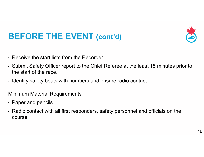

## **BEFORE THE EVENT (cont'd)**

- Receive the start lists from the Recorder.
- Submit Safety Officer report to the Chief Referee at the least 15 minutes prior to the start of the race.
- Identify safety boats with numbers and ensure radio contact.

#### **Minimum Material Requirements**

- Paper and pencils
- Radio contact with all first responders, safety personnel and officials on the course.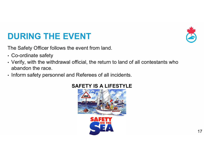

## **DURING THE EVENT**

The Safety Officer follows the event from land.

- Co-ordinate safety
- Verify, with the withdrawal official, the return to land of all contestants who abandon the race.
- Inform safety personnel and Referees of all incidents.



#### **SAFETY IS A LIFESTYLE**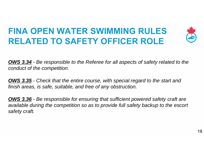## **FINA OPEN WATER SWIMMING RULES RELATED TO SAFETY OFFICER ROLE**



*OWS 3.34 - Be responsible to the Referee for all aspects of safety related to the conduct of the competition.* 

*OWS 3.35 - Check that the entire course, with special regard to the start and finish areas, is safe, suitable, and free of any obstruction.*

*OWS 3.36 - Be responsible for ensuring that sufficient powered safety craft are available during the competition so as to provide full safety backup to the escort safety craft.*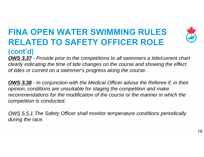## **FINA OPEN WATER SWIMMING RULES RELATED TO SAFETY OFFICER ROLE**



### **(cont'd)**

*OWS 3.37 - Provide prior to the competitions to all swimmers a tide/current chart clearly indicating the time of tide changes on the course and showing the effect of tides or current on a swimmer's progress along the course.*

*OWS 3.38 - In conjunction with the Medical Officer advise the Referee if, in their opinion, conditions are unsuitable for staging the competition and make*  recommendations for the modification of the course or the manner in which the *competition is conducted.*

*OWS 5.5.1 The Safety Officer shall monitor temperature conditions periodically during the race.*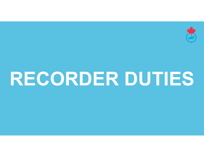

# **RECORDER DUTIES**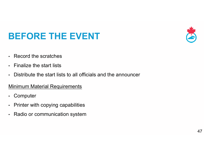## **BEFORE THE EVENT**

- •Record the scratches
- $\bullet$ Finalize the start lists
- •Distribute the start lists to all officials and the announcer

#### **Minimum Material Requirements**

- •**Computer**
- $\bullet$ Printer with copying capabilities
- •Radio or communication system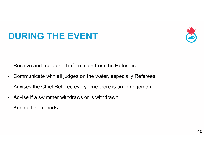## **DURING THE EVENT**

- •Receive and register all information from the Referees
- •Communicate with all judges on the water, especially Referees
- •Advises the Chief Referee every time there is an infringement
- •Advise if a swimmer withdraws or is withdrawn
- •Keep all the reports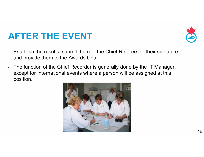

## **AFTER THE EVENT**

- • Establish the results, submit them to the Chief Referee for their signature and provide them to the Awards Chair.
- The function of the Chief Recorder is generally done by the IT Manager, except for International events where a person will be assigned at this position.

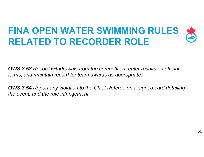## **FINA OPEN WATER SWIMMING RULES RELATED TO RECORDER ROLE**

*OWS 3.53 Record withdrawals from the competition, enter results on official forms, and maintain record for team awards as appropriate.*

*OWS 3.54 Report any violation to the Chief Referee on a signed card detailing the event, and the rule infringement.*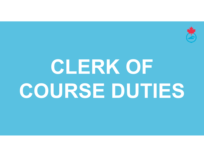

# **CLERK OF COURSE DUTIES**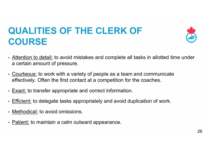## **QUALITIES OF THE CLERK OF COURSE**



- <u>Attention to detail:</u> to avoid mistakes and complete all tasks in allotted time under a certain amount of pressure.
- Courteous: to work with a variety of people as a team and communicate effectively. Often the first contact at a competition for the coaches.
- $\bm{\cdot}$  Exact: to transfer appropriate and correct information.
- $\bm \cdot$  <u>Efficient:</u> to delegate tasks appropriately and avoid duplication of work.
- Methodical: to avoid omissions.
- $\bm{\cdot}$  <u>Patient:</u> to maintain a calm outward appearance.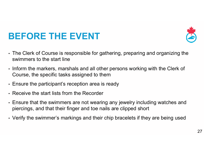## **BEFORE THE EVENT**



- The Clerk of Course is responsible for gathering, preparing and organizing the swimmers to the start line
- Inform the markers, marshals and all other persons working with the Clerk of Course, the specific tasks assigned to them
- Ensure the participant's reception area is ready
- Receive the start lists from the Recorder
- Ensure that the swimmers are not wearing any jewelry including watches and piercings, and that their finger and toe nails are clipped shor t
- Verify the swimmer's markings and their chip bracelets if they are being used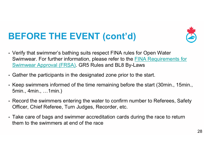## **BEFORE THE EVENT (cont'd)**



- Verify that swimmer's bathing suits respect FINA rules for Open Water Swimwear. For further information, please refer to the FINA Requirements for Swimwear Approval (FRSA). GR5 Rules and BL8 By-Laws
- Gather the participants in the designated zone prior to the start.
- Keep swimmers informed of the time remaining before the start (30min., 15min., 5min., 4min., …1min.)
- Record the swimmers entering the water to confirm number to Referees, Safety Officer, Chief Referee, Turn Judges, Recorder, etc.
- Take care of bags and swimmer accreditation cards during the race to return them to the swimmers at end of the race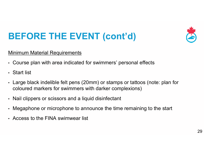

## **BEFORE THE EVENT (cont'd)**

#### **Minimum Material Requirements**

- •Course plan with area indicated for swimmers' personal effects
- Start list
- Large black indelible felt pens (20mm) or stamps or tattoos (note: plan for coloured markers for swimmers with darker complexions)
- Nail clippers or scissors and a liquid disinfectant
- •Megaphone or microphone to announce the time remaining to the start
- Access to the FINA swimwear list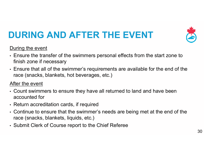## **DURING AND AFTER THE EVENT**

#### During the event

- Ensure the transfer of the swimmers personal effects from the start zone to finish zone if necessary
- Ensure that all of the swimmer's requirements are available for the end of the race (snacks, blankets, hot beverages, etc.)

#### After the event

- Count swimmers to ensure they have all returned to land and have been accounted for
- Return accreditation cards, if required
- Continue to ensure that the swimmer's needs are being met at the end of the race (snacks, blankets, liquids, etc.)
- Submit Clerk of Course report to the Chief Referee

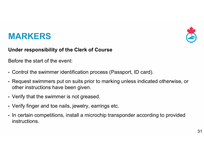

## **MARKERS**

#### **Under responsibility of the Clerk of Course**

Before the start of the event:

- Control the swimmer identification process (Passport, ID card).
- Request swimmers put on suits prior to marking unless indicated otherwise, or other instructions have been given.
- Verify that the swimmer is not greased.
- Verify finger and toe nails, jewelry, earrings etc.
- In certain competitions, install a microchip transponder according to provided instructions.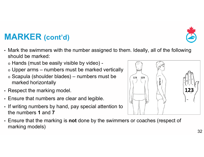32

## **MARKER (cont'd)**

- Mark the swimmers with the number assigned to them. Ideally, all of the following should be marked:
	- $\circ$  Hands (must be easily visible by video) -
	- $\circ$  Upper arms numbers must be marked vertically
	- $\circ$  Scapula (shoulder blades) numbers must be marked horizontally
- Respect the marking model.
- Ensure that numbers are clear and legible.
- If writing numbers by hand, pay special attention to the numbers **1** and **7**
- Ensure that the marking is **not** done by the swimmers or coaches (respect of marking models)

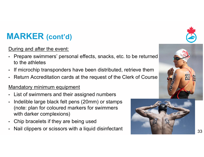## **MARKER (cont'd)**

#### During and after the event:

- • Prepare swimmers' personal effects, snacks, etc. to be returned to the athletes
- •If microchip transponders have been distributed, retrieve them
- •Return Accreditation cards at the request of the Clerk of Course

#### Mandatory minimum equipment

- •List of swimmers and their assigned numbers
- • Indelible large black felt pens (20mm) or stamps (note: plan for coloured markers for swimmers with darker complexions)
- •Chip bracelets if they are being used
- •Nail clippers or scissors with a liquid disinfectant National Company of the state of 33





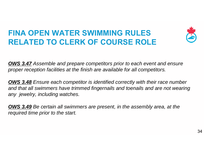## **FINA OPEN WATER SWIMMING RULES RELATED TO CLERK OF COURSE ROLE**



*OWS 3.47 Assemble and prepare competitors prior to each event and ensure proper reception facilities at the finish are available for all competitors.* 

*OWS 3.48 Ensure each competitor is identified correctly with their race number and that all swimmers have trimmed fingernails and toenails and are not wearing any jewelry, including watches.* 

*OWS 3.49 Be certain all swimmers are present, in the assembly area, at the required time prior to the start.*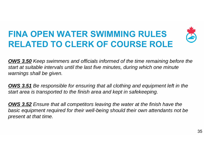## **FINA OPEN WATER SWIMMING RULES RELATED TO CLERK OF COURSE ROLE**



*OWS 3.50 Keep swimmers and officials informed of the time remaining before the start at suitable intervals until the last five minutes, during which one minute warnings shall be given.*

*OWS 3.51 Be responsible for ensuring that all clothing and equipment left in the start area is transported to the finish area and kept in safekeeping.*

*OWS 3.52 Ensure that all competitors leaving the water at the finish have the basic equipment required for their well-being should their own attendants not be present at that time.*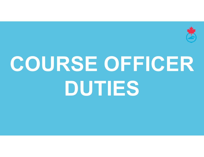

# **COURSE OFFICER DUTIES**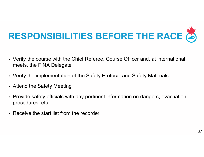

- Verify the course with the Chief Referee, Course Officer and, at international meets, the FINA Delegate
- Verify the implementation of the Safety Protocol and Safety Materials
- Attend the Safety Meeting
- Provide safety officials with any pertinent information on dangers, evacuation procedures, etc.
- Receive the start list from the recorder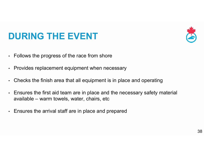

## **DURING THE EVENT**

- •Follows the progress of the race from shore
- $\bullet$ Provides replacement equipment when necessary
- $\bullet$ Checks the finish area that all equipment is in place and operating
- Ensures the first aid team are in place and the necessary safety material available – warm towels, water, chairs, etc
- •Ensures the arrival staff are in place and prepared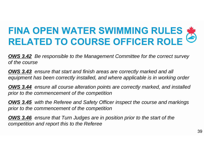## **FINA OPEN WATER SWIMMING RULES RELATED TO COURSE OFFICER ROLE**

*OWS 3.42 Be responsible to the Management Committee for the correct survey of the course*

*OWS 3.43 ensure that start and finish areas are correctly marked and all equipment has been correctly installed, and where applicable is in working order*

*OWS 3.44 ensure all course alteration points are correctly marked, and installed prior to the commencement of the competition*

*OWS 3.45 with the Referee and Safety Officer inspect the course and markings prior to the commencement of the competition*

*OWS 3.46 ensure that Turn Judges are in position prior to the start of the competition and report this to the Referee*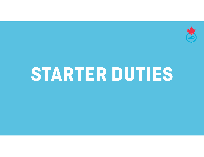

# **STARTER DUTIES**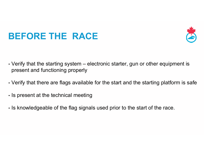## **BEFORE THE RACE**

- Verify that the starting system electronic starter, gun or other equipment is present and functioning properly
- Verify that there are flags available for the start and the starting platform is safe
- Is present at the technical meeting
- Is knowledgeable of the flag signals used prior to the start of the race.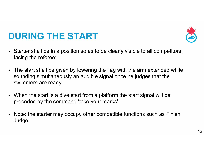## **DURING THE START**

- Starter shall be in a position so as to be clearly visible to all competitors, facing the referee:
- The start shall be given by lowering the flag with the arm extended while sounding simultaneously an audible signal once he judges that the swimmers are ready
- When the start is a dive start from a platform the start signal will be preceded by the command 'take your marks'
- $\bullet$  Note: the starter may occupy other compatible functions such as Finish Judge.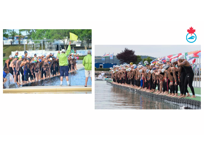



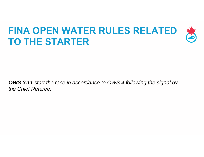## **FINA OPEN WATER RULES RELATED TO THE STARTER**

*OWS 3.11 start the race in accordance to OWS 4 following the signal by the Chief Referee.*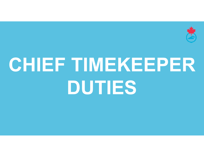

# **CHIEF TIMEKEEPER DUTIES**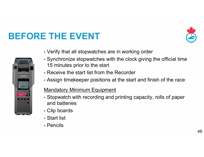

# **SEIKO**

- Verify that all stopwatches are in working order
- Synchronize stopwatches with the clock giving the official time 15 minutes prior to the start
- Receive the start list from the Recorder
- Assign timekeeper positions at the start and finish of the race

#### Mandatory Minimum Equipment

- Stopwatch with recording and printing capacity, rolls of paper and batteries
- Clip boards
- Start list

**BEFORE THE EVENT**

• Pencils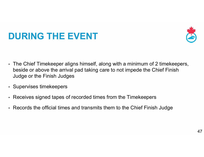## **DURING THE EVENT**

- The Chief Timekeeper aligns himself, along with a minimum of 2 timekeepers, beside or above the arrival pad taking care to not impede the Chief Finish Judge or the Finish Judges
- Supervises timekeepers
- $\bullet$ Receives signed tapes of recorded times from the Timekeepers
- •Records the official times and transmits them to the Chief Finish Judge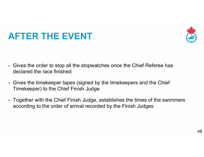

## **AFTER THE EVENT**

- Gives the order to stop all the stopwatches once the Chief Referee has declared the race finished
- • Gives the timekeeper tapes (signed by the timekeepers and the Chief Timekeeper) to the Chief Finish Judge
- Together with the Chief Finish Judge, establishes the times of the swimmers according to the order of arrival recorded by the Finish Judges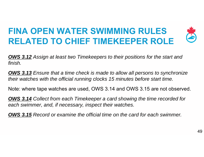## **FINA OPEN WATER SWIMMING RULES RELATED TO CHIEF TIMEKEEPER ROLE**

*OWS 3.12 Assign at least two Timekeepers to their positions for the start and finish.*

*OWS 3.13 Ensure that a time check is made to allow all persons to synchronize their watches with the official running clocks 15 minutes before start time.*

Note: where tape watches are used, OWS 3.14 and OWS 3.15 are not observed.

*OWS 3.14 Collect from each Timekeeper a card showing the time recorded for each swimmer, and, if necessary, inspect their watches.* 

*OWS 3.15 Record or examine the official time on the card for each swimmer.*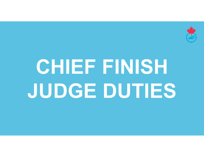

# **CHIEF FINISH JUDGE DUTIES**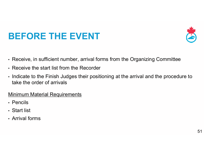## **BEFORE THE EVENT**



- Receive, in sufficient number, arrival forms from the Organizing Committee
- Receive the start list from the Recorder
- Indicate to the Finish Judges their positioning at the arrival and the procedure to take the order of arrivals

#### **Minimum Material Requirements**

- Pencils
- Start list
- Arrival forms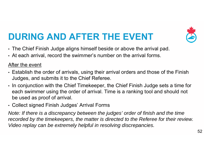

## **DURING AND AFTER THE EVENT**

- The Chief Finish Judge aligns himself beside or above the arrival pad.
- At each arrival, record the swimmer's number on the arrival forms.

#### After the event

- Establish the order of arrivals, using their arrival orders and those of the Finish Judges, and submits it to the Chief Referee.
- In conjunction with the Chief Timekeeper, the Chief Finish Judge sets a time for each swimmer using the order of arrival. Time is a ranking tool and should not be used as proof of arrival.
- Collect signed Finish Judges' Arrival Forms

*Note: If there is a discrepancy between the judges' order of finish and the time recorded by the timekeepers, the matter is directed to the Referee for their review. Video replay can be extremely helpful in resolving discrepancies.*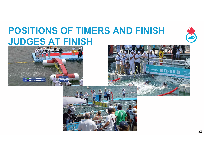

## **POSITIONS OF TIMERS AND FINISH JUDGES AT FINISH**





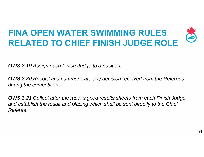## **FINA OPEN WATER SWIMMING RULES RELATED TO CHIEF FINISH JUDGE ROLE**

*OWS 3.19 Assign each Finish Judge to a position.* 

*OWS 3.20 Record and communicate any decision received from the Referees during the competition.* 

*OWS 3.21 Collect after the race, signed results sheets from each Finish Judge*  and establish the result and placing which shall be sent directly to the Chief *Referee.*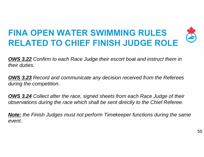## **FINA OPEN WATER SWIMMING RULES RELATED TO CHIEF FINISH JUDGE ROLE**

*OWS 3.22 Confirm to each Race Judge their escort boat and instruct them in their duties.* 

*OWS 3.23 Record and communicate any decision received from the Referees during the competition.*

*OWS 3.24 Collect after the race, signed sheets from each Race Judge of their observations during the race which shall be sent directly to the Chief Referee.*

*Note: the Finish Judges must not perform Timekeeper functions during the same event.*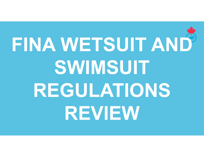# **FINA WETSUIT AND SWIMSUIT REGULATIONS REVIEW**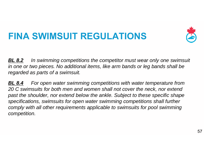

## **FINA SWIMSUIT REGULATIONS**

*BL 8.2 In swimming competitions the competitor must wear only one swimsuit in one or two pieces. No additional items, like arm bands or leg bands shall be regarded as parts of a swimsuit.*

*BL 8.4 For open water swimming competitions with water temperature from 20 C swimsuits for both men and women shall not cover the neck, nor extend past the shoulder, nor extend below the ankle. Subject to these specific shape specifications, swimsuits for open water swimming competitions shall further comply with all other requirements applicable to swimsuits for pool swimming competition.*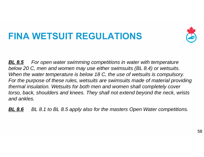

## **FINA WETSUIT REGULATIONS**

*BL 8.5 For open water swimming competitions in water with temperature below 20 C, men and women may use either swimsuits (BL 8.4) or wetsuits. When the water temperature is below 18 C, the use of wetsuits is compulsory.*  For the purpose of these rules, wetsuits are swimsuits made of material providing *thermal insulation. Wetsuits for both men and women shall completely cover torso, back, shoulders and knees. They shall not extend beyond the neck, wrists and ankles.* 

*BL 8.6BL 8.1 to BL 8.5 apply also for the masters Open Water competitions.*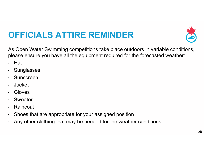## **OFFICIALS ATTIRE REMINDER**



As Open Water Swimming competitions take place outdoors in variable conditions, please ensure you have all the equipment required for the forecasted weather:

- •**Hat**
- •**Sunglasses**
- •Sunscreen
- •Jacket
- •Gloves
- •Sweater
- •Raincoat
- •Shoes that are appropriate for your assigned position
- •Any other clothing that may be needed for the weather condition s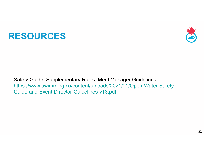

## **RESOURCES**

• Safety Guide, Supplementary Rules, Meet Manager Guidelines: https://www.swimming.ca/content/uploads/2021/01/Open-Water-Safety-Guide-and-Event-Director-Guidelines-v13.pdf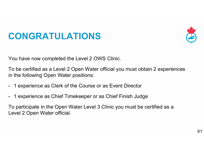## **CONGRATULATIONS**

You have now completed the Level 2 OWS Clinic.

To be certified as a Level 2 Open Water official you must obtain 2 experiences in the following Open Water positions:

- •1 experience as Clerk of the Course or as Event Director
- •1 experience as Chief Timekeeper or as Chief Finish Judge

To participate in the Open Water Level 3 Clinic you must be certified as a Level 2 Open Water official.